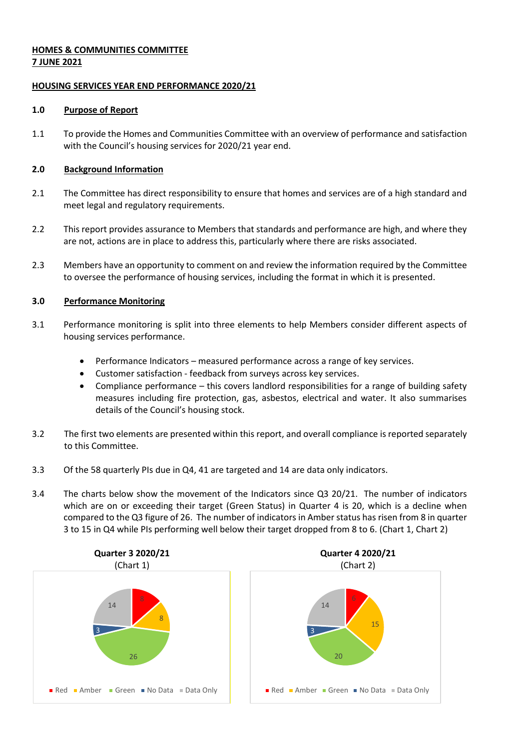# **HOMES & COMMUNITIES COMMITTEE 7 JUNE 2021**

## **HOUSING SERVICES YEAR END PERFORMANCE 2020/21**

## **1.0 Purpose of Report**

1.1 To provide the Homes and Communities Committee with an overview of performance and satisfaction with the Council's housing services for 2020/21 year end.

# **2.0 Background Information**

- 2.1 The Committee has direct responsibility to ensure that homes and services are of a high standard and meet legal and regulatory requirements.
- 2.2 This report provides assurance to Members that standards and performance are high, and where they are not, actions are in place to address this, particularly where there are risks associated.
- 2.3 Members have an opportunity to comment on and review the information required by the Committee to oversee the performance of housing services, including the format in which it is presented.

# **3.0 Performance Monitoring**

- 3.1 Performance monitoring is split into three elements to help Members consider different aspects of housing services performance.
	- Performance Indicators measured performance across a range of key services.
	- Customer satisfaction feedback from surveys across key services.
	- Compliance performance this covers landlord responsibilities for a range of building safety measures including fire protection, gas, asbestos, electrical and water. It also summarises details of the Council's housing stock.
- 3.2 The first two elements are presented within this report, and overall compliance is reported separately to this Committee.
- 3.3 Of the 58 quarterly PIs due in Q4, 41 are targeted and 14 are data only indicators.
- 3.4 The charts below show the movement of the Indicators since Q3 20/21. The number of indicators which are on or exceeding their target (Green Status) in Quarter 4 is 20, which is a decline when compared to the Q3 figure of 26. The number of indicators in Amber status has risen from 8 in quarter 3 to 15 in Q4 while PIs performing well below their target dropped from 8 to 6. (Chart 1, Chart 2)

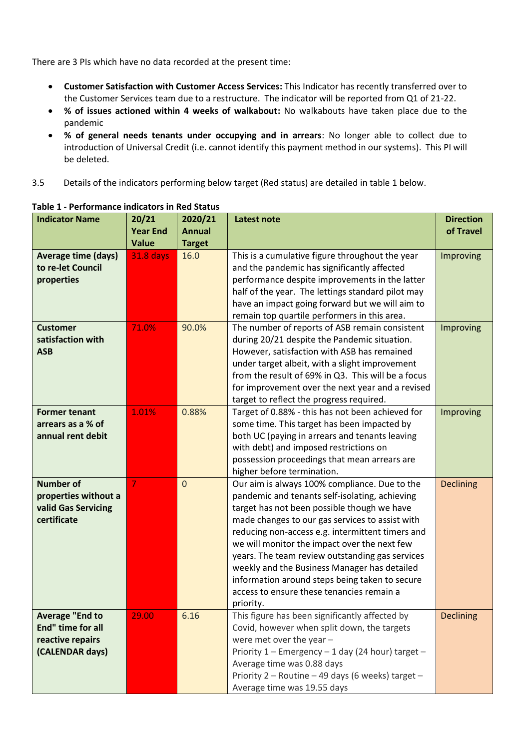There are 3 PIs which have no data recorded at the present time:

- **Customer Satisfaction with Customer Access Services:** This Indicator has recently transferred over to the Customer Services team due to a restructure. The indicator will be reported from Q1 of 21-22.
- **% of issues actioned within 4 weeks of walkabout:** No walkabouts have taken place due to the pandemic
- **% of general needs tenants under occupying and in arrears**: No longer able to collect due to introduction of Universal Credit (i.e. cannot identify this payment method in our systems). This PI will be deleted.
- 3.5 Details of the indicators performing below target (Red status) are detailed in table 1 below.

| <b>Indicator Name</b>      | 20/21            | 2020/21       | <b>Latest note</b>                                 | <b>Direction</b> |
|----------------------------|------------------|---------------|----------------------------------------------------|------------------|
|                            | <b>Year End</b>  | <b>Annual</b> |                                                    | of Travel        |
|                            | <b>Value</b>     | <b>Target</b> |                                                    |                  |
| <b>Average time (days)</b> | <b>31.8 days</b> | 16.0          | This is a cumulative figure throughout the year    | Improving        |
| to re-let Council          |                  |               | and the pandemic has significantly affected        |                  |
| properties                 |                  |               | performance despite improvements in the latter     |                  |
|                            |                  |               | half of the year. The lettings standard pilot may  |                  |
|                            |                  |               | have an impact going forward but we will aim to    |                  |
|                            |                  |               | remain top quartile performers in this area.       |                  |
| <b>Customer</b>            | 71.0%            | 90.0%         | The number of reports of ASB remain consistent     | Improving        |
| satisfaction with          |                  |               | during 20/21 despite the Pandemic situation.       |                  |
| <b>ASB</b>                 |                  |               | However, satisfaction with ASB has remained        |                  |
|                            |                  |               | under target albeit, with a slight improvement     |                  |
|                            |                  |               | from the result of 69% in Q3. This will be a focus |                  |
|                            |                  |               | for improvement over the next year and a revised   |                  |
|                            |                  |               | target to reflect the progress required.           |                  |
| <b>Former tenant</b>       | 1.01%            | 0.88%         | Target of 0.88% - this has not been achieved for   | Improving        |
| arrears as a % of          |                  |               | some time. This target has been impacted by        |                  |
| annual rent debit          |                  |               | both UC (paying in arrears and tenants leaving     |                  |
|                            |                  |               | with debt) and imposed restrictions on             |                  |
|                            |                  |               | possession proceedings that mean arrears are       |                  |
|                            |                  |               | higher before termination.                         |                  |
| <b>Number of</b>           | 7                | $\mathbf{0}$  | Our aim is always 100% compliance. Due to the      | <b>Declining</b> |
| properties without a       |                  |               | pandemic and tenants self-isolating, achieving     |                  |
| valid Gas Servicing        |                  |               | target has not been possible though we have        |                  |
| certificate                |                  |               | made changes to our gas services to assist with    |                  |
|                            |                  |               | reducing non-access e.g. intermittent timers and   |                  |
|                            |                  |               | we will monitor the impact over the next few       |                  |
|                            |                  |               | years. The team review outstanding gas services    |                  |
|                            |                  |               | weekly and the Business Manager has detailed       |                  |
|                            |                  |               | information around steps being taken to secure     |                  |
|                            |                  |               | access to ensure these tenancies remain a          |                  |
|                            |                  |               | priority.                                          |                  |
| <b>Average "End to</b>     | 29.00            | 6.16          | This figure has been significantly affected by     | <b>Declining</b> |
| End" time for all          |                  |               | Covid, however when split down, the targets        |                  |
| reactive repairs           |                  |               | were met over the year -                           |                  |
| (CALENDAR days)            |                  |               | Priority 1 - Emergency - 1 day (24 hour) target -  |                  |
|                            |                  |               | Average time was 0.88 days                         |                  |
|                            |                  |               | Priority 2 - Routine - 49 days (6 weeks) target -  |                  |
|                            |                  |               | Average time was 19.55 days                        |                  |

## **Table 1 - Performance indicators in Red Status**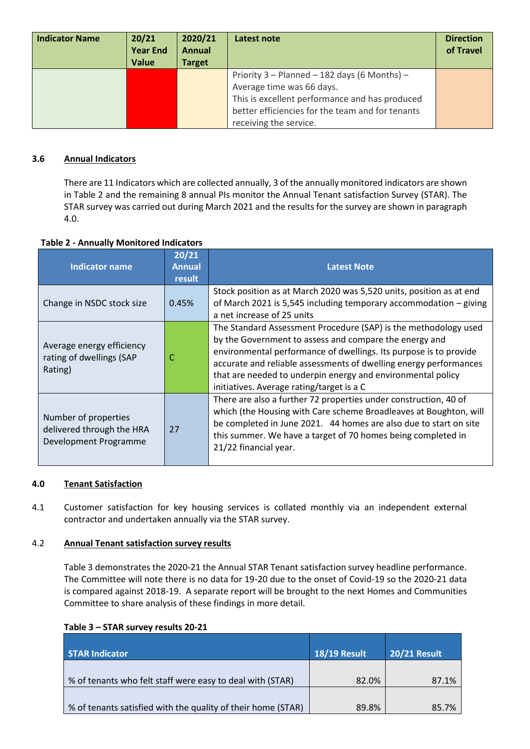| <b>Indicator Name</b> | 20/21<br><b>Year End</b><br><b>Value</b> | 2020/21<br><b>Annual</b><br><b>Target</b> | Latest note                                                                                                                                                                                               | <b>Direction</b><br>of Travel |
|-----------------------|------------------------------------------|-------------------------------------------|-----------------------------------------------------------------------------------------------------------------------------------------------------------------------------------------------------------|-------------------------------|
|                       |                                          |                                           | Priority 3 - Planned - 182 days (6 Months) -<br>Average time was 66 days.<br>This is excellent performance and has produced<br>better efficiencies for the team and for tenants<br>receiving the service. |                               |

# **3.6 Annual Indicators**

There are 11 Indicators which are collected annually, 3 of the annually monitored indicators are shown in Table 2 and the remaining 8 annual PIs monitor the Annual Tenant satisfaction Survey (STAR). The STAR survey was carried out during March 2021 and the results for the survey are shown in paragraph 4.0.

|  | <b>Table 2 - Annually Monitored Indicators</b> |
|--|------------------------------------------------|
|--|------------------------------------------------|

| <b>Indicator name</b>                                                            | 20/21<br><b>Annual</b><br>result | <b>Latest Note</b>                                                                                                                                                                                                                                                                                                                                                              |
|----------------------------------------------------------------------------------|----------------------------------|---------------------------------------------------------------------------------------------------------------------------------------------------------------------------------------------------------------------------------------------------------------------------------------------------------------------------------------------------------------------------------|
| Change in NSDC stock size                                                        | 0.45%                            | Stock position as at March 2020 was 5,520 units, position as at end<br>of March 2021 is 5,545 including temporary accommodation - giving<br>a net increase of 25 units                                                                                                                                                                                                          |
| Average energy efficiency<br>rating of dwellings (SAP<br>Rating)                 | C                                | The Standard Assessment Procedure (SAP) is the methodology used<br>by the Government to assess and compare the energy and<br>environmental performance of dwellings. Its purpose is to provide<br>accurate and reliable assessments of dwelling energy performances<br>that are needed to underpin energy and environmental policy<br>initiatives. Average rating/target is a C |
| Number of properties<br>27<br>delivered through the HRA<br>Development Programme |                                  | There are also a further 72 properties under construction, 40 of<br>which (the Housing with Care scheme Broadleaves at Boughton, will<br>be completed in June 2021. 44 homes are also due to start on site<br>this summer. We have a target of 70 homes being completed in<br>21/22 financial year.                                                                             |

## **4.0 Tenant Satisfaction**

4.1 Customer satisfaction for key housing services is collated monthly via an independent external contractor and undertaken annually via the STAR survey.

## 4.2 **Annual Tenant satisfaction survey results**

Table 3 demonstrates the 2020-21 the Annual STAR Tenant satisfaction survey headline performance. The Committee will note there is no data for 19-20 due to the onset of Covid-19 so the 2020-21 data is compared against 2018-19. A separate report will be brought to the next Homes and Communities Committee to share analysis of these findings in more detail.

| <b>STAR Indicator</b>                                        | <b>18/19 Result</b> | <b>20/21 Result</b> |
|--------------------------------------------------------------|---------------------|---------------------|
| % of tenants who felt staff were easy to deal with (STAR)    | 82.0%               | 87.1%               |
| % of tenants satisfied with the quality of their home (STAR) | 89.8%               | 85.7%               |

## **Table 3 – STAR survey results 20-21**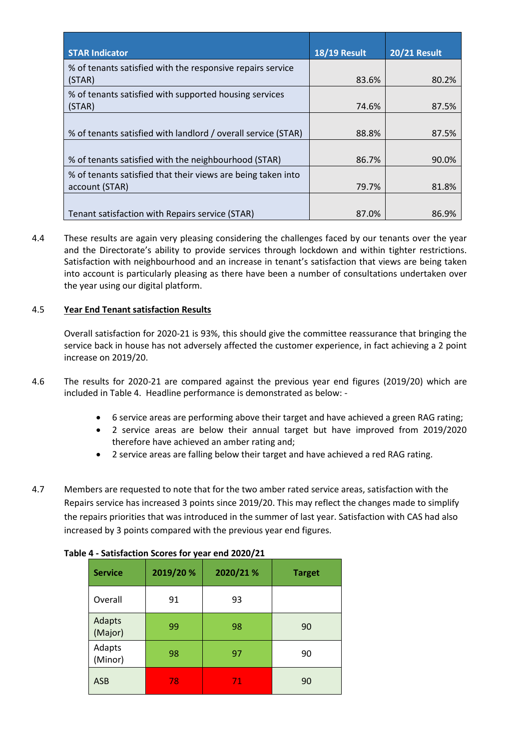| <b>STAR Indicator</b>                                                          | <b>18/19 Result</b> | <b>20/21 Result</b> |
|--------------------------------------------------------------------------------|---------------------|---------------------|
| % of tenants satisfied with the responsive repairs service<br>(STAR)           | 83.6%               | 80.2%               |
| % of tenants satisfied with supported housing services<br>(STAR)               | 74.6%               | 87.5%               |
| % of tenants satisfied with landlord / overall service (STAR)                  | 88.8%               | 87.5%               |
| % of tenants satisfied with the neighbourhood (STAR)                           | 86.7%               | 90.0%               |
| % of tenants satisfied that their views are being taken into<br>account (STAR) | 79.7%               | 81.8%               |
| Tenant satisfaction with Repairs service (STAR)                                | 87.0%               | 86.9%               |

4.4 These results are again very pleasing considering the challenges faced by our tenants over the year and the Directorate's ability to provide services through lockdown and within tighter restrictions. Satisfaction with neighbourhood and an increase in tenant's satisfaction that views are being taken into account is particularly pleasing as there have been a number of consultations undertaken over the year using our digital platform.

# 4.5 **Year End Tenant satisfaction Results**

Overall satisfaction for 2020-21 is 93%, this should give the committee reassurance that bringing the service back in house has not adversely affected the customer experience, in fact achieving a 2 point increase on 2019/20.

- 4.6 The results for 2020-21 are compared against the previous year end figures (2019/20) which are included in Table 4. Headline performance is demonstrated as below: -
	- 6 service areas are performing above their target and have achieved a green RAG rating;
	- 2 service areas are below their annual target but have improved from 2019/2020 therefore have achieved an amber rating and;
	- 2 service areas are falling below their target and have achieved a red RAG rating.
- 4.7 Members are requested to note that for the two amber rated service areas, satisfaction with the Repairs service has increased 3 points since 2019/20. This may reflect the changes made to simplify the repairs priorities that was introduced in the summer of last year. Satisfaction with CAS had also increased by 3 points compared with the previous year end figures.

| <b>Service</b>    | 2019/20 % | 2020/21% | <b>Target</b> |
|-------------------|-----------|----------|---------------|
| Overall           | 91        | 93       |               |
| Adapts<br>(Major) | 99        | 98       | 90            |
| Adapts<br>(Minor) | 98        | 97       | 90            |
| <b>ASB</b>        | 78        | 71.      | 90            |

## **Table 4 - Satisfaction Scores for year end 2020/21**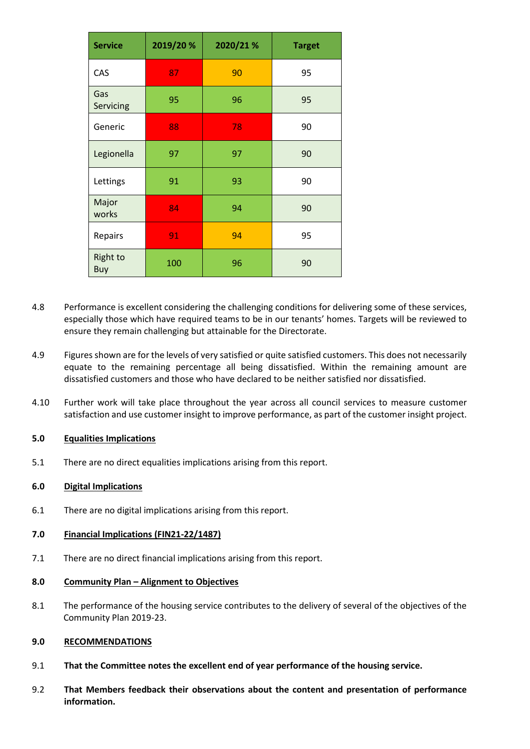| <b>Service</b>         | 2019/20 % | 2020/21 % | <b>Target</b> |
|------------------------|-----------|-----------|---------------|
| CAS                    | 87        | 90        | 95            |
| Gas<br>Servicing       | 95        | 96        | 95            |
| Generic                | 88        | 78        | 90            |
| Legionella             | 97        | 97        | 90            |
| Lettings               | 91        | 93        | 90            |
| Major<br>works         | 84        | 94        | 90            |
| Repairs                | 91        | 94        | 95            |
| <b>Right to</b><br>Buy | 100       | 96        | 90            |

- 4.8 Performance is excellent considering the challenging conditions for delivering some of these services, especially those which have required teams to be in our tenants' homes. Targets will be reviewed to ensure they remain challenging but attainable for the Directorate.
- 4.9 Figures shown are for the levels of very satisfied or quite satisfied customers. This does not necessarily equate to the remaining percentage all being dissatisfied. Within the remaining amount are dissatisfied customers and those who have declared to be neither satisfied nor dissatisfied.
- 4.10 Further work will take place throughout the year across all council services to measure customer satisfaction and use customer insight to improve performance, as part of the customer insight project.

## **5.0 Equalities Implications**

5.1 There are no direct equalities implications arising from this report.

### **6.0 Digital Implications**

6.1 There are no digital implications arising from this report.

#### **7.0 Financial Implications (FIN21-22/1487)**

7.1 There are no direct financial implications arising from this report.

### **8.0 Community Plan – Alignment to Objectives**

8.1 The performance of the housing service contributes to the delivery of several of the objectives of the Community Plan 2019-23.

#### **9.0 RECOMMENDATIONS**

- 9.1 **That the Committee notes the excellent end of year performance of the housing service.**
- 9.2 **That Members feedback their observations about the content and presentation of performance information.**